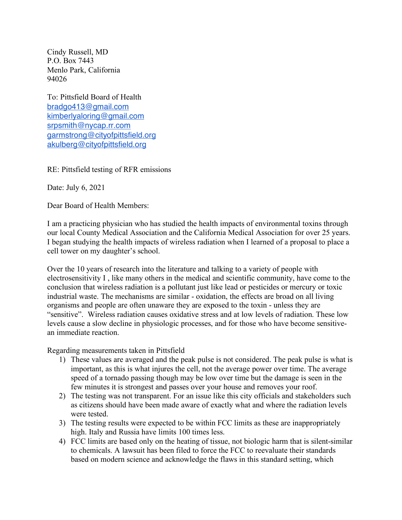Cindy Russell, MD P.O. Box 7443 Menlo Park, California 94026

To: Pittsfield Board of Health bradgo413@gmail.com kimberlyaloring@gmail.com srpsmith@nycap.rr.com garmstrong@cityofpittsfield.org akulberg@cityofpittsfield.org

RE: Pittsfield testing of RFR emissions

Date: July 6, 2021

Dear Board of Health Members:

I am a practicing physician who has studied the health impacts of environmental toxins through our local County Medical Association and the California Medical Association for over 25 years. I began studying the health impacts of wireless radiation when I learned of a proposal to place a cell tower on my daughter's school.

Over the 10 years of research into the literature and talking to a variety of people with electrosensitivity I , like many others in the medical and scientific community, have come to the conclusion that wireless radiation is a pollutant just like lead or pesticides or mercury or toxic industrial waste. The mechanisms are similar - oxidation, the effects are broad on all living organisms and people are often unaware they are exposed to the toxin - unless they are "sensitive". Wireless radiation causes oxidative stress and at low levels of radiation. These low levels cause a slow decline in physiologic processes, and for those who have become sensitivean immediate reaction.

Regarding measurements taken in Pittsfield

- 1) These values are averaged and the peak pulse is not considered. The peak pulse is what is important, as this is what injures the cell, not the average power over time. The average speed of a tornado passing though may be low over time but the damage is seen in the few minutes it is strongest and passes over your house and removes your roof.
- 2) The testing was not transparent. For an issue like this city officials and stakeholders such as citizens should have been made aware of exactly what and where the radiation levels were tested.
- 3) The testing results were expected to be within FCC limits as these are inappropriately high. Italy and Russia have limits 100 times less.
- 4) FCC limits are based only on the heating of tissue, not biologic harm that is silent-similar to chemicals. A lawsuit has been filed to force the FCC to reevaluate their standards based on modern science and acknowledge the flaws in this standard setting, which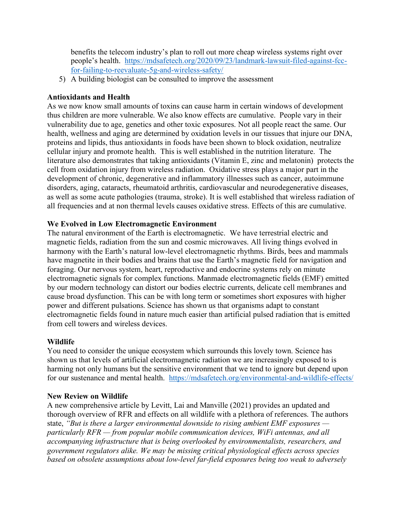benefits the telecom industry's plan to roll out more cheap wireless systems right over people's health. https://mdsafetech.org/2020/09/23/landmark-lawsuit-filed-against-fccfor-failing-to-reevaluate-5g-and-wireless-safety/

5) A building biologist can be consulted to improve the assessment

## **Antioxidants and Health**

As we now know small amounts of toxins can cause harm in certain windows of development thus children are more vulnerable. We also know effects are cumulative. People vary in their vulnerability due to age, genetics and other toxic exposures. Not all people react the same. Our health, wellness and aging are determined by oxidation levels in our tissues that injure our DNA, proteins and lipids, thus antioxidants in foods have been shown to block oxidation, neutralize cellular injury and promote health. This is well established in the nutrition literature. The literature also demonstrates that taking antioxidants (Vitamin E, zinc and melatonin) protects the cell from oxidation injury from wireless radiation. Oxidative stress plays a major part in the development of chronic, degenerative and inflammatory illnesses such as cancer, autoimmune disorders, aging, cataracts, rheumatoid arthritis, cardiovascular and neurodegenerative diseases, as well as some acute pathologies (trauma, stroke). It is well established that wireless radiation of all frequencies and at non thermal levels causes oxidative stress. Effects of this are cumulative.

## **We Evolved in Low Electromagnetic Environment**

The natural environment of the Earth is electromagnetic. We have terrestrial electric and magnetic fields, radiation from the sun and cosmic microwaves. All living things evolved in harmony with the Earth's natural low-level electromagnetic rhythms. Birds, bees and mammals have magnetite in their bodies and brains that use the Earth's magnetic field for navigation and foraging. Our nervous system, heart, reproductive and endocrine systems rely on minute electromagnetic signals for complex functions. Manmade electromagnetic fields (EMF) emitted by our modern technology can distort our bodies electric currents, delicate cell membranes and cause broad dysfunction. This can be with long term or sometimes short exposures with higher power and different pulsations. Science has shown us that organisms adapt to constant electromagnetic fields found in nature much easier than artificial pulsed radiation that is emitted from cell towers and wireless devices.

## **Wildlife**

You need to consider the unique ecosystem which surrounds this lovely town. Science has shown us that levels of artificial electromagnetic radiation we are increasingly exposed to is harming not only humans but the sensitive environment that we tend to ignore but depend upon for our sustenance and mental health. https://mdsafetech.org/environmental-and-wildlife-effects/

#### **New Review on Wildlife**

A new comprehensive article by Levitt, Lai and Manville (2021) provides an updated and thorough overview of RFR and effects on all wildlife with a plethora of references. The authors state, *"But is there a larger environmental downside to rising ambient EMF exposures particularly RFR — from popular mobile communication devices, WiFi antennas, and all accompanying infrastructure that is being overlooked by environmentalists, researchers, and government regulators alike. We may be missing critical physiological effects across species based on obsolete assumptions about low-level far-field exposures being too weak to adversely*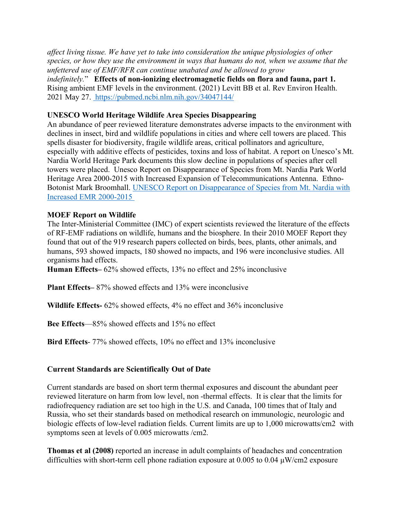*affect living tissue. We have yet to take into consideration the unique physiologies of other species, or how they use the environment in ways that humans do not, when we assume that the unfettered use of EMF/RFR can continue unabated and be allowed to grow indefinitely.*" **Effects of non-ionizing electromagnetic fields on flora and fauna, part 1.** Rising ambient EMF levels in the environment. (2021) Levitt BB et al. Rev Environ Health. 2021 May 27. https://pubmed.ncbi.nlm.nih.gov/34047144/

## **UNESCO World Heritage Wildlife Area Species Disappearing**

An abundance of peer reviewed literature demonstrates adverse impacts to the environment with declines in insect, bird and wildlife populations in cities and where cell towers are placed. This spells disaster for biodiversity, fragile wildlife areas, critical pollinators and agriculture, especially with additive effects of pesticides, toxins and loss of habitat. A report on Unesco's Mt. Nardia World Heritage Park documents this slow decline in populations of species after cell towers were placed. Unesco Report on Disappearance of Species from Mt. Nardia Park World Heritage Area 2000-2015 with Increased Expansion of Telecommunications Antenna. Ethno-Botonist Mark Broomhall. UNESCO Report on Disappearance of Species from Mt. Nardia with Increased EMR 2000-2015

## **MOEF Report on Wildlife**

The Inter-Ministerial Committee (IMC) of expert scientists reviewed the literature of the effects of RF-EMF radiations on wildlife, humans and the biosphere. In their 2010 MOEF Report they found that out of the 919 research papers collected on birds, bees, plants, other animals, and humans, 593 showed impacts, 180 showed no impacts, and 196 were inconclusive studies. All organisms had effects.

**Human Effects–** 62% showed effects, 13% no effect and 25% inconclusive

**Plant Effects–** 87% showed effects and 13% were inconclusive

**Wildlife Effects-** 62% showed effects, 4% no effect and 36% inconclusive

**Bee Effects**—85% showed effects and 15% no effect

**Bird Effects**- 77% showed effects, 10% no effect and 13% inconclusive

## **Current Standards are Scientifically Out of Date**

Current standards are based on short term thermal exposures and discount the abundant peer reviewed literature on harm from low level, non -thermal effects. It is clear that the limits for radiofrequency radiation are set too high in the U.S. and Canada, 100 times that of Italy and Russia, who set their standards based on methodical research on immunologic, neurologic and biologic effects of low-level radiation fields. Current limits are up to 1,000 microwatts/cm2 with symptoms seen at levels of 0.005 microwatts /cm2.

**Thomas et al (2008)** reported an increase in adult complaints of headaches and concentration difficulties with short-term cell phone radiation exposure at 0.005 to 0.04 µW/cm2 exposure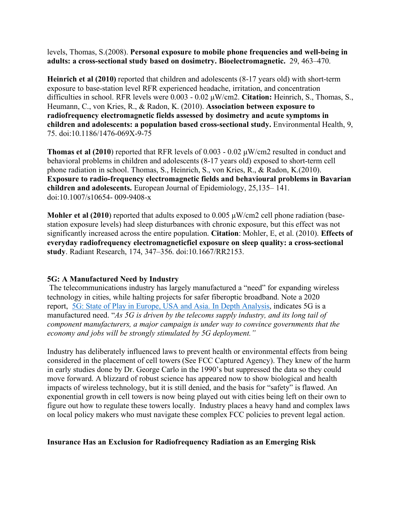levels, Thomas, S.(2008). **Personal exposure to mobile phone frequencies and well-being in adults: a cross-sectional study based on dosimetry. Bioelectromagnetic.** 29, 463–470.

**Heinrich et al (2010)** reported that children and adolescents (8-17 years old) with short-term exposure to base-station level RFR experienced headache, irritation, and concentration difficulties in school. RFR levels were 0.003 - 0.02 µW/cm2. **Citation:** Heinrich, S., Thomas, S., Heumann, C., von Kries, R., & Radon, K. (2010). **Association between exposure to radiofrequency electromagnetic fields assessed by dosimetry and acute symptoms in children and adolescents: a population based cross-sectional study.** Environmental Health, 9, 75. doi:10.1186/1476-069X-9-75

**Thomas et al (2010**) reported that RFR levels of 0.003 - 0.02 µW/cm2 resulted in conduct and behavioral problems in children and adolescents (8-17 years old) exposed to short-term cell phone radiation in school. Thomas, S., Heinrich, S., von Kries, R., & Radon, K.(2010). **Exposure to radio-frequency electromagnetic fields and behavioural problems in Bavarian children and adolescents.** European Journal of Epidemiology, 25,135– 141. doi:10.1007/s10654- 009-9408-x

**Mohler et al (2010)** reported that adults exposed to 0.005  $\mu$ W/cm2 cell phone radiation (basestation exposure levels) had sleep disturbances with chronic exposure, but this effect was not significantly increased across the entire population. **Citation**: Mohler, E, et al. (2010). **Effects of everyday radiofrequency electromagneticfiel exposure on sleep quality: a cross-sectional study**. Radiant Research, 174, 347–356. doi:10.1667/RR2153.

## **5G: A Manufactured Need by Industry**

The telecommunications industry has largely manufactured a "need" for expanding wireless technology in cities, while halting projects for safer fiberoptic broadband. Note a 2020 report, 5G: State of Play in Europe, USA and Asia. In Depth Analysis, indicates 5G is a manufactured need. "*As 5G is driven by the telecoms supply industry, and its long tail of component manufacturers, a major campaign is under way to convince governments that the economy and jobs will be strongly stimulated by 5G deployment."*

Industry has deliberately influenced laws to prevent health or environmental effects from being considered in the placement of cell towers (See FCC Captured Agency). They knew of the harm in early studies done by Dr. George Carlo in the 1990's but suppressed the data so they could move forward. A blizzard of robust science has appeared now to show biological and health impacts of wireless technology, but it is still denied, and the basis for "safety" is flawed. An exponential growth in cell towers is now being played out with cities being left on their own to figure out how to regulate these towers locally. Industry places a heavy hand and complex laws on local policy makers who must navigate these complex FCC policies to prevent legal action.

#### **Insurance Has an Exclusion for Radiofrequency Radiation as an Emerging Risk**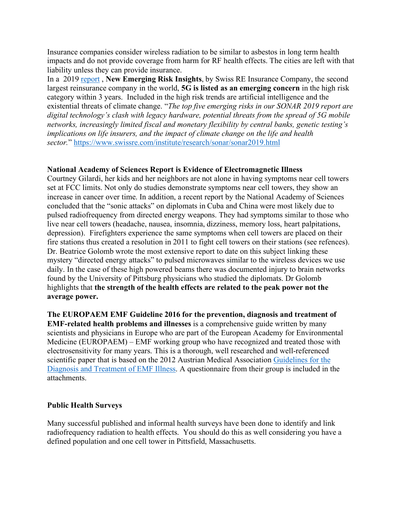Insurance companies consider wireless radiation to be similar to asbestos in long term health impacts and do not provide coverage from harm for RF health effects. The cities are left with that liability unless they can provide insurance.

In a 2019 report , **New Emerging Risk Insights**, by Swiss RE Insurance Company, the second largest reinsurance company in the world, **5G is listed as an emerging concern** in the high risk category within 3 years. Included in the high risk trends are artificial intelligence and the existential threats of climate change. "*The top five emerging risks in our SONAR 2019 report are digital technology's clash with legacy hardware, potential threats from the spread of 5G mobile networks, increasingly limited fiscal and monetary flexibility by central banks, genetic testing's implications on life insurers, and the impact of climate change on the life and health sector.*" https://www.swissre.com/institute/research/sonar/sonar2019.html

#### **National Academy of Sciences Report is Evidence of Electromagnetic Illness**

Courtney Gilardi, her kids and her neighbors are not alone in having symptoms near cell towers set at FCC limits. Not only do studies demonstrate symptoms near cell towers, they show an increase in cancer over time. In addition, a recent report by the National Academy of Sciences concluded that the "sonic attacks" on diplomats in Cuba and China were most likely due to pulsed radiofrequency from directed energy weapons. They had symptoms similar to those who live near cell towers (headache, nausea, insomnia, dizziness, memory loss, heart palpitations, depression). Firefighters experience the same symptoms when cell towers are placed on their fire stations thus created a resolution in 2011 to fight cell towers on their stations (see refences). Dr. Beatrice Golomb wrote the most extensive report to date on this subject linking these mystery "directed energy attacks" to pulsed microwaves similar to the wireless devices we use daily. In the case of these high powered beams there was documented injury to brain networks found by the University of Pittsburg physicians who studied the diplomats. Dr Golomb highlights that **the strength of the health effects are related to the peak power not the average power.** 

**The EUROPAEM EMF Guideline 2016 for the prevention, diagnosis and treatment of EMF-related health problems and illnesses** is a comprehensive guide written by many scientists and physicians in Europe who are part of the European Academy for Environmental Medicine (EUROPAEM) – EMF working group who have recognized and treated those with electrosensitivity for many years. This is a thorough, well researched and well-referenced scientific paper that is based on the 2012 Austrian Medical Association Guidelines for the Diagnosis and Treatment of EMF Illness. A questionnaire from their group is included in the attachments.

#### **Public Health Surveys**

Many successful published and informal health surveys have been done to identify and link radiofrequency radiation to health effects. You should do this as well considering you have a defined population and one cell tower in Pittsfield, Massachusetts.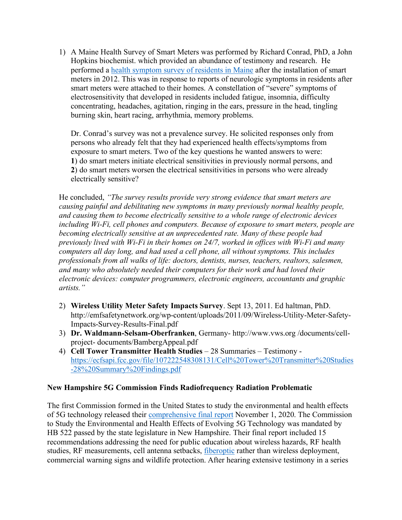1) A Maine Health Survey of Smart Meters was performed by Richard Conrad, PhD, a John Hopkins biochemist. which provided an abundance of testimony and research. He performed a health symptom survey of residents in Maine after the installation of smart meters in 2012. This was in response to reports of neurologic symptoms in residents after smart meters were attached to their homes. A constellation of "severe" symptoms of electrosensitivity that developed in residents included fatigue, insomnia, difficulty concentrating, headaches, agitation, ringing in the ears, pressure in the head, tingling burning skin, heart racing, arrhythmia, memory problems.

Dr. Conrad's survey was not a prevalence survey. He solicited responses only from persons who already felt that they had experienced health effects/symptoms from exposure to smart meters. Two of the key questions he wanted answers to were: **1**) do smart meters initiate electrical sensitivities in previously normal persons, and **2**) do smart meters worsen the electrical sensitivities in persons who were already electrically sensitive?

He concluded, *"The survey results provide very strong evidence that smart meters are causing painful and debilitating new symptoms in many previously normal healthy people, and causing them to become electrically sensitive to a whole range of electronic devices including Wi-Fi, cell phones and computers. Because of exposure to smart meters, people are becoming electrically sensitive at an unprecedented rate. Many of these people had previously lived with Wi-Fi in their homes on 24/7, worked in offices with Wi-Fi and many computers all day long, and had used a cell phone, all without symptoms. This includes professionals from all walks of life: doctors, dentists, nurses, teachers, realtors, salesmen, and many who absolutely needed their computers for their work and had loved their electronic devices: computer programmers, electronic engineers, accountants and graphic artists."*

- 2) **Wireless Utility Meter Safety Impacts Survey**. Sept 13, 2011. Ed haltman, PhD. http://emfsafetynetwork.org/wp-content/uploads/2011/09/Wireless-Utility-Meter-Safety-Impacts-Survey-Results-Final.pdf
- 3) **Dr. Waldmann-Selsam-Oberfranken**, Germany- http://www.vws.org /documents/cellproject- documents/BambergAppeal.pdf
- 4) **Cell Tower Transmitter Health Studies** 28 Summaries Testimony https://ecfsapi.fcc.gov/file/107222548308131/Cell%20Tower%20Transmitter%20Studies -28%20Summary%20Findings.pdf

#### **New Hampshire 5G Commission Finds Radiofrequency Radiation Problematic**

The first Commission formed in the United States to study the environmental and health effects of 5G technology released their comprehensive final report November 1, 2020. The Commission to Study the Environmental and Health Effects of Evolving 5G Technology was mandated by HB 522 passed by the state legislature in New Hampshire. Their final report included 15 recommendations addressing the need for public education about wireless hazards, RF health studies, RF measurements, cell antenna setbacks, *fiberoptic* rather than wireless deployment, commercial warning signs and wildlife protection. After hearing extensive testimony in a series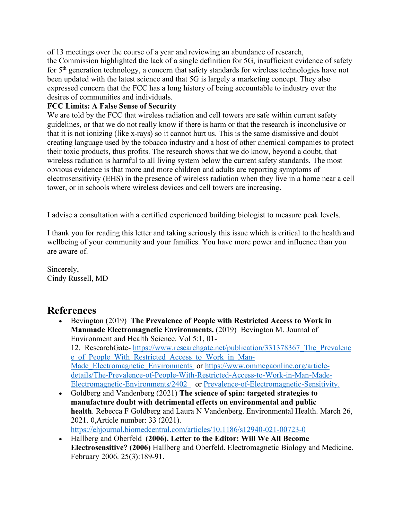of 13 meetings over the course of a year and reviewing an abundance of research, the Commission highlighted the lack of a single definition for 5G, insufficient evidence of safety for 5th generation technology, a concern that safety standards for wireless technologies have not been updated with the latest science and that 5G is largely a marketing concept. They also expressed concern that the FCC has a long history of being accountable to industry over the desires of communities and individuals.

### **FCC Limits: A False Sense of Security**

We are told by the FCC that wireless radiation and cell towers are safe within current safety guidelines, or that we do not really know if there is harm or that the research is inconclusive or that it is not ionizing (like x-rays) so it cannot hurt us. This is the same dismissive and doubt creating language used by the tobacco industry and a host of other chemical companies to protect their toxic products, thus profits. The research shows that we do know, beyond a doubt, that wireless radiation is harmful to all living system below the current safety standards. The most obvious evidence is that more and more children and adults are reporting symptoms of electrosensitivity (EHS) in the presence of wireless radiation when they live in a home near a cell tower, or in schools where wireless devices and cell towers are increasing.

I advise a consultation with a certified experienced building biologist to measure peak levels.

I thank you for reading this letter and taking seriously this issue which is critical to the health and wellbeing of your community and your families. You have more power and influence than you are aware of.

Sincerely, Cindy Russell, MD

# **References**

- Bevington (2019) **The Prevalence of People with Restricted Access to Work in Manmade Electromagnetic Environments.** (2019) Bevington M. Journal of Environment and Health Science. Vol 5:1, 01- 12. ResearchGate- https://www.researchgate.net/publication/331378367\_The\_Prevalenc e\_of\_People\_With\_Restricted\_Access\_to\_Work\_in\_Man-Made Electromagnetic Environments or https://www.ommegaonline.org/articledetails/The-Prevalence-of-People-With-Restricted-Access-to-Work-in-Man-Made-Electromagnetic-Environments/2402 or Prevalence-of-Electromagnetic-Sensitivity.
- Goldberg and Vandenberg (2021) **The science of spin: targeted strategies to manufacture doubt with detrimental effects on environmental and public health**. Rebecca F Goldberg and Laura N Vandenberg. Environmental Health. March 26, 2021. 0,Article number: 33 (2021). https://ehjournal.biomedcentral.com/articles/10.1186/s12940-021-00723-0
- Hallberg and Oberfeld **(2006). Letter to the Editor: Will We All Become Electrosensitive? (2006)** Hallberg and Oberfeld. Electromagnetic Biology and Medicine. February 2006. 25(3):189-91.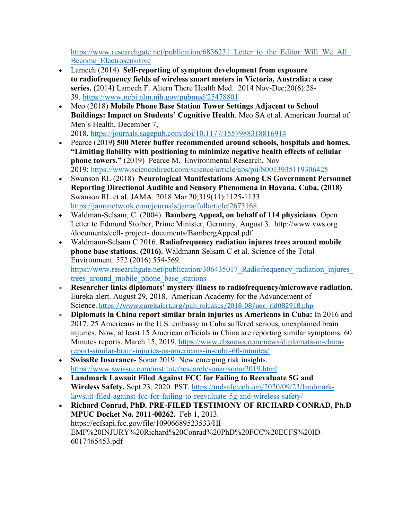https://www.researchgate.net/publication/6836231 Letter to the Editor Will We All Become\_Electrosensitive

- Lamech (2014) **Self-reporting of symptom development from exposure to radiofrequency fields of wireless smart meters in Victoria, Australia: a case series.** (2014) Lamech F. Altern There Health Med. 2014 Nov-Dec;20(6):28- 39. https://www.ncbi.nlm.nih.gov/pubmed/25478801
- Meo (2018) **Mobile Phone Base Station Tower Settings Adjacent to School Buildings: Impact on Students' Cognitive Health**. Meo SA et al. American Journal of Men's Health. December 7, 2018. https://journals.sagepub.com/doi/10.1177/1557988318816914
- Pearce (2019**) 500 Meter buffer recommended around schools, hospitals and homes. "Limiting liability with positioning to minimize negative health effects of cellular phone towers."** (2019) Pearce M. Environmental Research, Nov 2019; https://www.sciencedirect.com/science/article/abs/pii/S0013935119306425
- Swanson RL (2018) **Neurological Manifestations Among US Government Personnel Reporting Directional Audible and Sensory Phenomena in Havana, Cuba. (2018)** Swanson RL et al. JAMA. 2018 Mar 20;319(11):1125-1133. https://jamanetwork.com/journals/jama/fullarticle/2673168
- Waldman-Selsam, C. (2004). **Bamberg Appeal, on behalf of 114 physicians**. Open Letter to Edmund Stoiber, Prime Minister, Germany, August 3. http://www.vws.org /documents/cell- project- documents/BambergAppeal.pdf
- Waldmann-Selsam C 2016. **Radiofrequency radiation injures trees around mobile phone base stations. (2016).** Waldmann-Selsam C et al. Science of the Total Environment. 572 (2016) 554-569. https://www.researchgate.net/publication/306435017\_Radiofrequency\_radiation\_injures trees around mobile phone base stations
- **Researcher links diplomats' mystery illness to radiofrequency/microwave radiation.**  Eureka alert. August 29, 2018. American Academy for the Advancement of Science. https://www.eurekalert.org/pub\_releases/2018-08/uoc-rld082918.php
- **Diplomats in China report similar brain injuries as Americans in Cuba:** In 2016 and 2017, 25 Americans in the U.S. embassy in Cuba suffered serious, unexplained brain injuries. Now, at least 15 American officials in China are reporting similar symptoms. 60 Minutes reports. March 15, 2019. https://www.cbsnews.com/news/diplomats-in-chinareport-similar-brain-injuries-as-americans-in-cuba-60-minutes/
- **SwissRe Insurance-** Sonar 2019: New emerging risk insights. https://www.swissre.com/institute/research/sonar/sonar2019.html
- **Landmark Lawsuit Filed Against FCC for Failing to Reevaluate 5G and Wireless Safety.** Sept 23, 2020. PST. https://mdsafetech.org/2020/09/23/landmarklawsuit-filed-against-fcc-for-failing-to-reevaluate-5g-and-wireless-safety/
- **Richard Conrad, PhD. PRE-FILED TESTIMONY OF RICHARD CONRAD, Ph.D MPUC Docket No. 2011-00262.** Feb 1, 2013. https://ecfsapi.fcc.gov/file/10906689523533/HI-EMF%20INJURY%20Richard%20Conrad%20PhD%20FCC%20ECFS%20ID-6017465453.pdf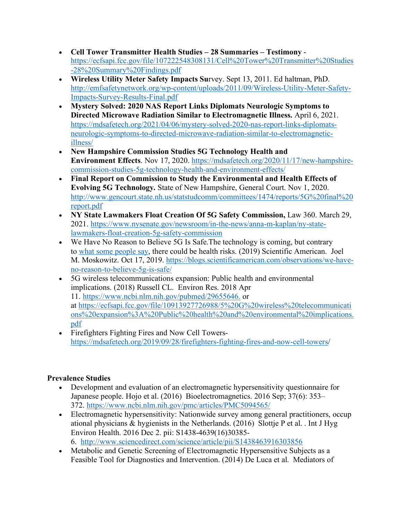- **Cell Tower Transmitter Health Studies – 28 Summaries – Testimony** https://ecfsapi.fcc.gov/file/107222548308131/Cell%20Tower%20Transmitter%20Studies -28%20Summary%20Findings.pdf
- **Wireless Utility Meter Safety Impacts Su**rvey. Sept 13, 2011. Ed haltman, PhD. http://emfsafetynetwork.org/wp-content/uploads/2011/09/Wireless-Utility-Meter-Safety-Impacts-Survey-Results-Final.pdf
- **Mystery Solved: 2020 NAS Report Links Diplomats Neurologic Symptoms to Directed Microwave Radiation Similar to Electromagnetic Illness.** April 6, 2021. https://mdsafetech.org/2021/04/06/mystery-solved-2020-nas-report-links-diplomatsneurologic-symptoms-to-directed-microwave-radiation-similar-to-electromagneticillness/
- **New Hampshire Commission Studies 5G Technology Health and Environment Effects**. Nov 17, 2020. https://mdsafetech.org/2020/11/17/new-hampshirecommission-studies-5g-technology-health-and-environment-effects/
- **Final Report on Commission to Study the Environmental and Health Effects of Evolving 5G Technology.** State of New Hampshire, General Court. Nov 1, 2020. http://www.gencourt.state.nh.us/statstudcomm/committees/1474/reports/5G%20final%20 report.pdf
- **NY State Lawmakers Float Creation Of 5G Safety Commission,** Law 360. March 29, 2021. https://www.nysenate.gov/newsroom/in-the-news/anna-m-kaplan/ny-statelawmakers-float-creation-5g-safety-commission
- We Have No Reason to Believe 5G Is Safe. The technology is coming, but contrary to what some people say, there could be health risks. (2019) Scientific American. Joel M. Moskowitz. Oct 17, 2019. https://blogs.scientificamerican.com/observations/we-haveno-reason-to-believe-5g-is-safe/
- 5G wireless telecommunications expansion: Public health and environmental implications. (2018) Russell CL. Environ Res. 2018 Apr 11. https://www.ncbi.nlm.nih.gov/pubmed/29655646. or at https://ecfsapi.fcc.gov/file/10913927726988/5%20G%20wireless%20telecommunicati ons%20expansion%3A%20Public%20health%20and%20environmental%20implications. pdf
- Firefighters Fighting Fires and Now Cell Towershttps://mdsafetech.org/2019/09/28/firefighters-fighting-fires-and-now-cell-towers/

## **Prevalence Studies**

- Development and evaluation of an electromagnetic hypersensitivity questionnaire for Japanese people. Hojo et al. (2016) Bioelectromagnetics. 2016 Sep; 37(6): 353– 372. https://www.ncbi.nlm.nih.gov/pmc/articles/PMC5094565/
- Electromagnetic hypersensitivity: Nationwide survey among general practitioners, occup ational physicians & hygienists in the Netherlands. (2016) Slottje P et al. . Int J Hyg Environ Health. 2016 Dec 2. pii: S1438-4639(16)30385- 6. http://www.sciencedirect.com/science/article/pii/S1438463916303856
- Metabolic and Genetic Screening of Electromagnetic Hypersensitive Subjects as a Feasible Tool for Diagnostics and Intervention. (2014) De Luca et al. Mediators of